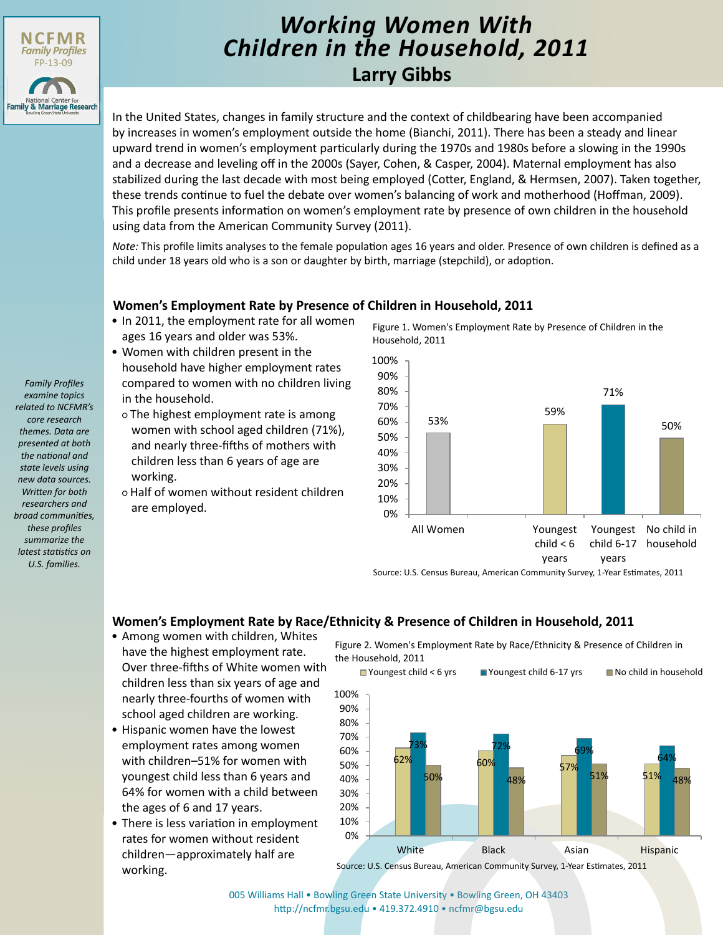

# **Larry Gibbs** *Working Women With Children in the Household, 2011*

In the United States, changes in family structure and the context of childbearing have been accompanied by increases in women's employment outside the home (Bianchi, 2011). There has been a steady and linear upward trend in women's employment particularly during the 1970s and 1980s before a slowing in the 1990s and a decrease and leveling off in the 2000s (Sayer, Cohen, & Casper, 2004). Maternal employment has also stabilized during the last decade with most being employed (Cotter, England, & Hermsen, 2007). Taken together, these trends continue to fuel the debate over women's balancing of work and motherhood (Hoffman, 2009). This profile presents information on women's employment rate by presence of own children in the household using data from the American Community Survey (2011).

*Note:* This profile limits analyses to the female population ages 16 years and older. Presence of own children is defined as a child under 18 years old who is a son or daughter by birth, marriage (stepchild), or adoption.

## **Women's Employment Rate by Presence of Children in Household, 2011**

- In 2011, the employment rate for all women ages 16 years and older was 53%.
- Women with children present in the household have higher employment rates compared to women with no children living in the household.
- The highest employment rate is among women with school aged children (71%), and nearly three-fifths of mothers with children less than 6 years of age are working.
- Half of women without resident children are employed.

Figure 1. Women's Employment Rate by Presence of Children in the Household, 2011



Source: U.S. Census Bureau, American Community Survey, 1-Year Estimates, 2011

### **Women's Employment Rate by Race/Ethnicity & Presence of Children in Household, 2011**

- Among women with children, Whites have the highest employment rate. Over three-fifths of White women with children less than six years of age and nearly three-fourths of women with school aged children are working.
- Hispanic women have the lowest employment rates among women with children–51% for women with youngest child less than 6 years and 64% for women with a child between the ages of 6 and 17 years.
- There is less variation in employment rates for women without resident children—approximately half are working.

Figure 2. Women's Employment Rate by Race/Ethnicity & Presence of Children in the Household, 2011



Source: U.S. Census Bureau, American Community Survey, 1-Year Estimates, 2011

[005 Williams Hall • Bowling Green State University • Bowling Green, OH 43403](http://ncfmr.bgsu.edu) http://ncfmr.bgsu.edu • 419.372.4910 • ncfmr@bgsu.edu

*Family Profiles examine topics related to NCFMR's core research themes. Data are presented at both the national and state levels using new data sources. Written for both researchers and broad communities, these profiles summarize the latest statistics on U.S. families.*